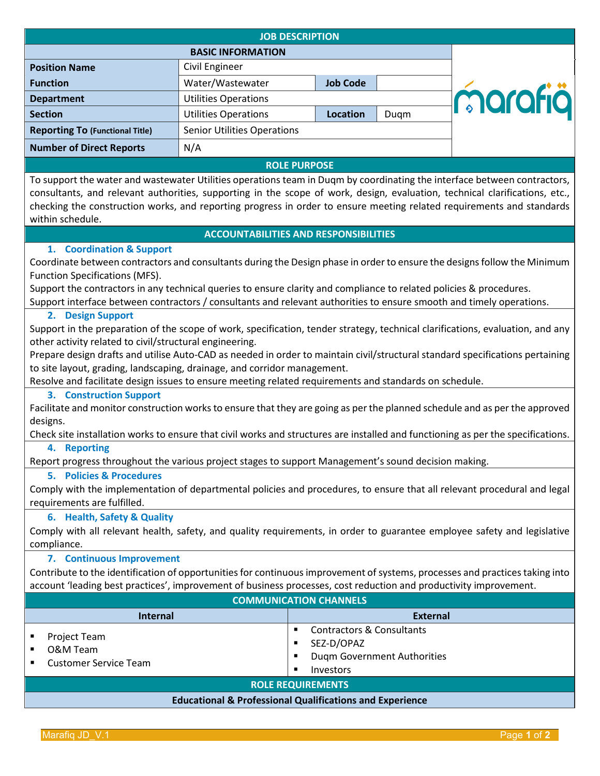| <b>JOB DESCRIPTION</b>                                                                                                                                                                                                                                                                                                                                                                               |                                    |                 |      |         |  |
|------------------------------------------------------------------------------------------------------------------------------------------------------------------------------------------------------------------------------------------------------------------------------------------------------------------------------------------------------------------------------------------------------|------------------------------------|-----------------|------|---------|--|
| <b>BASIC INFORMATION</b>                                                                                                                                                                                                                                                                                                                                                                             |                                    |                 |      |         |  |
| <b>Position Name</b>                                                                                                                                                                                                                                                                                                                                                                                 | Civil Engineer                     |                 |      |         |  |
| <b>Function</b>                                                                                                                                                                                                                                                                                                                                                                                      | Water/Wastewater                   | <b>Job Code</b> |      |         |  |
| <b>Department</b>                                                                                                                                                                                                                                                                                                                                                                                    | <b>Utilities Operations</b>        |                 |      | marafiä |  |
| <b>Section</b>                                                                                                                                                                                                                                                                                                                                                                                       | <b>Utilities Operations</b>        | Location        | Dugm |         |  |
| <b>Reporting To (Functional Title)</b>                                                                                                                                                                                                                                                                                                                                                               | <b>Senior Utilities Operations</b> |                 |      |         |  |
| <b>Number of Direct Reports</b>                                                                                                                                                                                                                                                                                                                                                                      | N/A                                |                 |      |         |  |
| <b>ROLE PURPOSE</b>                                                                                                                                                                                                                                                                                                                                                                                  |                                    |                 |      |         |  |
| To support the water and wastewater Utilities operations team in Duqm by coordinating the interface between contractors,<br>consultants, and relevant authorities, supporting in the scope of work, design, evaluation, technical clarifications, etc.,<br>checking the construction works, and reporting progress in order to ensure meeting related requirements and standards<br>within schedule. |                                    |                 |      |         |  |

### **ACCOUNTABILITIES AND RESPONSIBILITIES**

### **1. Coordination & Support**

Coordinate between contractors and consultants during the Design phase in order to ensure the designs follow the Minimum Function Specifications (MFS).

Support the contractors in any technical queries to ensure clarity and compliance to related policies & procedures.

Support interface between contractors / consultants and relevant authorities to ensure smooth and timely operations.

#### **2. Design Support**

Support in the preparation of the scope of work, specification, tender strategy, technical clarifications, evaluation, and any other activity related to civil/structural engineering.

Prepare design drafts and utilise Auto-CAD as needed in order to maintain civil/structural standard specifications pertaining to site layout, grading, landscaping, drainage, and corridor management.

Resolve and facilitate design issues to ensure meeting related requirements and standards on schedule.

#### **3. Construction Support**

Facilitate and monitor construction works to ensure that they are going as per the planned schedule and as per the approved designs.

Check site installation works to ensure that civil works and structures are installed and functioning as per the specifications.

### **4. Reporting**

Report progress throughout the various project stages to support Management's sound decision making.

# **5. Policies & Procedures**

Comply with the implementation of departmental policies and procedures, to ensure that all relevant procedural and legal requirements are fulfilled.

# **6. Health, Safety & Quality**

Comply with all relevant health, safety, and quality requirements, in order to guarantee employee safety and legislative compliance.

# **7. Continuous Improvement**

Contribute to the identification of opportunities for continuous improvement of systems, processes and practices taking into account 'leading best practices', improvement of business processes, cost reduction and productivity improvement.

| <b>COMMUNICATION CHANNELS</b>                                       |                                                                                                            |  |  |  |
|---------------------------------------------------------------------|------------------------------------------------------------------------------------------------------------|--|--|--|
| Internal                                                            | <b>External</b>                                                                                            |  |  |  |
| Project Team<br>O&M Team<br><b>Customer Service Team</b>            | <b>Contractors &amp; Consultants</b><br>SEZ-D/OPAZ<br>Duqm Government Authorities<br><b>Investors</b><br>٠ |  |  |  |
| <b>ROLE REQUIREMENTS</b>                                            |                                                                                                            |  |  |  |
| <b>Educational &amp; Professional Qualifications and Experience</b> |                                                                                                            |  |  |  |